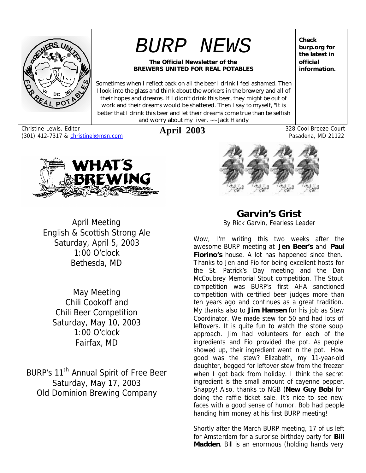

# *BURP NEWS*

#### **The Official Newsletter of the BREWERS UNITED FOR REAL POTABLES**

Sometimes when I reflect back on all the beer I drink I feel ashamed. Then I look into the glass and think about the workers in the brewery and all of their hopes and dreams. If I didn't drink this beer, they might be out of work and their dreams would be shattered. Then I say to myself, "It is better that I drink this beer and let their dreams come true than be selfish and worry about my liver. ~~ Jack Handy

Christine Lewis, Editor (301) 412-7317 & christinel@msn.com



April Meeting English & Scottish Strong Ale Saturday, April 5, 2003 1:00 O'clock Bethesda, MD

May Meeting Chili Cookoff and Chili Beer Competition Saturday, May 10, 2003 1:00 O'clock Fairfax, MD

BURP's 11<sup>th</sup> Annual Spirit of Free Beer Saturday, May 17, 2003 Old Dominion Brewing Company

**Check burp.org for the latest in official information.**

Pasadena, MD 21122



**April 2003** 328 Cool Breeze Court

**Garvin's Grist** *By Rick Garvin, Fearless Leader*

Wow, I'm writing this two weeks after the awesome BURP meeting at **Jen Beer's** and **Paul Fiorino's** house. A lot has happened since then. Thanks to Jen and Fio for being excellent hosts for the St. Patrick's Day meeting and the Dan McCoubrey Memorial Stout competition. The Stout competition was BURP's first AHA sanctioned competition with certified beer judges more than ten years ago and continues as a great tradition. My thanks also to **Jim Hansen** for his job as Stew Coordinator. We made stew for 50 and had lots of leftovers. It is quite fun to watch the stone soup approach. Jim had volunteers for each of the ingredients and Fio provided the pot. As people showed up, their ingredient went in the pot. How good was the stew? Elizabeth, my 11-year-old daughter, begged for leftover stew from the freezer when I got back from holiday. I think the secret ingredient is the small amount of cayenne pepper. Snappy! Also, thanks to NGB (**New Guy Bob**) for doing the raffle ticket sale. It's nice to see new faces with a good sense of humor. Bob had people handing him money at his first BURP meeting!

Shortly after the March BURP meeting, 17 of us left for Amsterdam for a surprise birthday party for **Bill Madden**. Bill is an enormous (holding hands very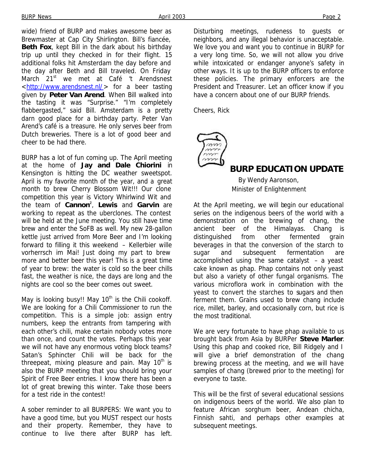wide) friend of BURP and makes awesome beer as Brewmaster at Cap City Shirlington. Bill's fiancée, **Beth Fox**, kept Bill in the dark about his birthday trip up until they checked in for their flight. 15 additional folks hit Amsterdam the day before and the day after Beth and Bill traveled. On Friday March 21<sup>st</sup> we met at Café 't Arendsnest <http://www.arendsnest.nl/> for a beer tasting given by **Peter Van Arend**. When Bill walked into the tasting it was "Surprise." "I'm completely flabbergasted," said Bill. Amsterdam is a pretty darn good place for a birthday party. Peter Van Arend's café is a treasure. He only serves beer from Dutch breweries. There is a lot of good beer and cheer to be had there.

BURP has a lot of fun coming up. The April meeting at the home of **Jay and Dale Chiorini** in Kensington is hitting the DC weather sweetspot. April is my favorite month of the year, and a great month to brew Cherry Blossom Wit!!! Our clone competition this year is Victory Whirlwind Wit and the team of **Cannon<sup>2</sup>** , **Lewis** and **Garvin** are working to repeat as the uberclones. The contest will be held at the June meeting. You still have time brew and enter the SoFB as well. My new 28-gallon kettle just arrived from More Beer and I'm looking forward to filling it this weekend – Kellerbier wille vorherrsch im Mai! Just doing my part to brew more and better beer this year! This is a great time of year to brew: the water is cold so the beer chills fast, the weather is nice, the days are long and the nights are cool so the beer comes out sweet.

May is looking busy!! May  $10<sup>th</sup>$  is the Chili cookoff. We are looking for a Chili Commissioner to run the competition. This is a simple job: assign entry numbers, keep the entrants from tampering with each other's chili, make certain nobody votes more than once, and count the votes. Perhaps this year we will not have any enormous voting block teams? Satan's Sphincter Chili will be back for the threepeat, mixing pleasure and pain. May  $10<sup>th</sup>$  is also the BURP meeting that you should bring your Spirit of Free Beer entries. I know there has been a lot of great brewing this winter. Take those beers for a test ride in the contest!

A sober reminder to all BURPERS: We want you to have a good time, but you MUST respect our hosts and their property. Remember, they have to continue to live there after BURP has left.

Disturbing meetings, rudeness to guests or neighbors, and any illegal behavior is unacceptable. We love you and want you to continue in BURP for a very long time. So, we will not allow you drive while intoxicated or endanger anyone's safety in other ways. It is up to the BURP officers to enforce these policies. The primary enforcers are the President and Treasurer. Let an officer know if you have a concern about one of our BURP friends.

Cheers, Rick



#### **BURP EDUCATION UPDATE**

*By Wendy Aaronson, Minister of Enlightenment*

At the April meeting, we will begin our educational series on the indigenous beers of the world with a demonstration on the brewing of chang, the ancient beer of the Himalayas. Chang is distinguished from other fermented grain beverages in that the conversion of the starch to sugar and subsequent fermentation are accomplished using the same catalyst – a yeast cake known as phap. Phap contains not only yeast but also a variety of other fungal organisms. The various microflora work in combination with the yeast to convert the starches to sugars and then ferment them. Grains used to brew chang include rice, millet, barley, and occasionally corn, but rice is the most traditional.

We are very fortunate to have phap available to us brought back from Asia by BURPer **Steve Marler**. Using this phap and cooked rice, Bill Ridgely and I will give a brief demonstration of the chang brewing process at the meeting, and we will have samples of chang (brewed prior to the meeting) for everyone to taste.

This will be the first of several educational sessions on indigenous beers of the world. We also plan to feature African sorghum beer, Andean chicha, Finnish sahti, and perhaps other examples at subsequent meetings.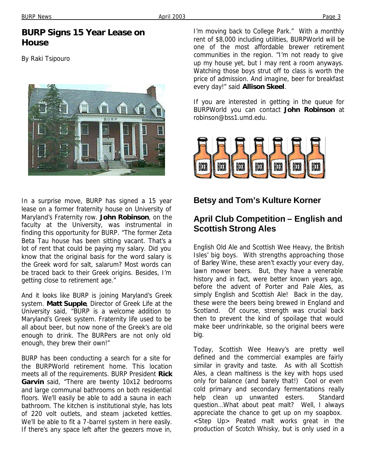#### BURP News Page 3

#### **BURP Signs 15 Year Lease on House**

By Raki Tsipouro



In a surprise move, BURP has signed a 15 year lease on a former fraternity house on University of Maryland's Fraternity row. **John Robinson**, on the faculty at the University, was instrumental in finding this opportunity for BURP. "The former Zeta Beta Tau house has been sitting vacant. That's a lot of rent that could be paying my salary. Did you know that the original basis for the word salary is the Greek word for salt, salarum? Most words can be traced back to their Greek origins. Besides, I'm getting close to retirement age."

And it looks like BURP is joining Maryland's Greek system. **Matt Supple**, Director of Greek Life at the University said, "BURP is a welcome addition to Maryland's Greek system. Fraternity life used to be all about beer, but now none of the Greek's are old enough to drink. The BURPers are not only old enough, they brew their own!"

BURP has been conducting a search for a site for the BURPWorld retirement home. This location meets all of the requirements. BURP President **Rick Garvin** said, "There are twenty 10x12 bedrooms and large communal bathrooms on both residential floors. We'll easily be able to add a sauna in each bathroom. The kitchen is institutional style, has lots of 220 volt outlets, and steam jacketed kettles. We'll be able to fit a 7-barrel system in here easily. If there's any space left after the geezers move in,

I'm moving back to College Park." With a monthly rent of \$8,000 including utilities, BURPWorld will be one of the most affordable brewer retirement communities in the region. "I'm not ready to give up my house yet, but I may rent a room anyways. Watching those boys strut off to class is worth the price of admission. And imagine, beer for breakfast every day!" said **Allison Skeel**.

If you are interested in getting in the queue for BURPWorld you can contact **John Robinson** at robinson@bss1.umd.edu.



#### **Betsy and Tom's Kulture Korner**

## **April Club Competition – English and Scottish Strong Ales**

English Old Ale and Scottish Wee Heavy, the British Isles' big boys. With strengths approaching those of Barley Wine, these aren't exactly your every day, lawn mower beers. But, they have a venerable history and in fact, were better known years ago, before the advent of Porter and Pale Ales, as simply English and Scottish Ale! Back in the day, these were the beers being brewed in England and Scotland. Of course, strength was crucial back then to prevent the kind of spoilage that would make beer undrinkable, so the original beers were big.

Today, Scottish Wee Heavy's are pretty well defined and the commercial examples are fairly similar in gravity and taste. As with all Scottish Ales, a clean maltiness is the key with hops used only for balance (and barely that!) Cool or even cold primary and secondary fermentations really help clean up unwanted esters. Standard question…What about peat malt? Well, I always appreciate the chance to get up on my soapbox. <Step Up> Peated malt works great in the production of Scotch Whisky, but is only used in a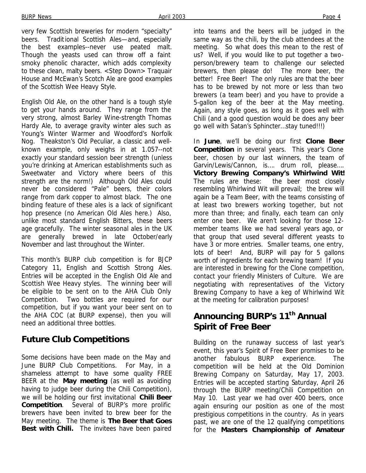very few Scottish breweries for modern "specialty" beers. Traditional Scottish Ales—and, especially the best examples--never use peated malt. Though the yeasts used can throw off a faint smoky phenolic character, which adds complexity to these clean, malty beers. <Step Down> Traquair House and McEwan's Scotch Ale are good examples of the Scottish Wee Heavy Style.

English Old Ale, on the other hand is a tough style to get your hands around. They range from the very strong, almost Barley Wine-strength Thomas Hardy Ale, to average gravity winter ales such as Young's Winter Warmer and Woodford's Norfolk Nog. Theakston's Old Peculiar, a classic and wellknown example, only weighs in at 1.057--not exactly your standard session beer strength (unless you're drinking at American establishments such as Sweetwater and Victory where beers of this strength are the norm!) Although Old Ales could never be considered "Pale" beers, their colors range from dark copper to almost black. The one binding feature of these ales is a lack of significant hop presence (no American Old Ales here.) Also, unlike most standard English Bitters, these beers age gracefully. The winter seasonal ales in the UK are generally brewed in late October/early November and last throughout the Winter.

This month's BURP club competition is for BJCP Category 11, English and Scottish Strong Ales. Entries will be accepted in the English Old Ale and Scottish Wee Heavy styles. The winning beer will be eligible to be sent on to the AHA Club Only Competition. Two bottles are required for our competition, but if you want your beer sent on to the AHA COC (at BURP expense), then you will need an additional three bottles.

## **Future Club Competitions**

Some decisions have been made on the May and June BURP Club Competitions. For May, in a shameless attempt to have some quality FREE BEER at the **May meeting** (as well as avoiding having to judge beer during the Chili Competition), we will be holding our first invitational **Chili Beer Competition**. Several of BURP's more prolific brewers have been invited to brew beer for the May meeting. The theme is **The Beer that Goes Best with Chili.** The invitees have been paired into teams and the beers will be judged in the same way as the chili, by the club attendees at the meeting. So what does this mean to the rest of us? Well, if you would like to put together a twoperson/brewery team to challenge our selected brewers, then please do! The more beer, the better! Free Beer! The only rules are that the beer has to be brewed by not more or less than two brewers (a team beer) and you have to provide a 5-gallon keg of the beer at the May meeting. Again, any style goes, as long as it goes well with Chili (and a good question would be does any beer go well with Satan's Sphincter…stay tuned!!!)

In **June**, we'll be doing our first **Clone Beer Competition** in several years. This year's Clone beer, chosen by our last winners, the team of Garvin/Lewis/Cannon, is…. drum roll, please…. **Victory Brewing Company's Whirlwind Wit!** The rules are these: the beer most closely resembling Whirlwind Wit will prevail; the brew will again be a Team Beer, with the teams consisting of at least two brewers working together, but not more than three; and finally, each team can only enter one beer. We aren't looking for those 12 member teams like we had several years ago, or that group that used several different yeasts to have 3 or more entries. Smaller teams, one entry, lots of beer! *And*, BURP will pay for 5 gallons worth of ingredients for each brewing team! If you are interested in brewing for the Clone competition, contact your friendly Ministers of Culture. We are negotiating with representatives of the Victory Brewing Company to have a keg of Whirlwind Wit at the meeting for calibration purposes!

## **Announcing BURP's 11th Annual Spirit of Free Beer**

Building on the runaway success of last year's event, this year's Spirit of Free Beer promises to be another fabulous BURP experience. The competition will be held at the Old Dominion Brewing Company on Saturday, May 17, 2003. Entries will be accepted starting Saturday, April 26 through the BURP meeting/Chili Competition on May 10. Last year we had over 400 beers, once again ensuring our position as one of the most prestigious competitions in the country. As in years past, we are one of the 12 qualifying competitions for the **Masters Championship of Amateur**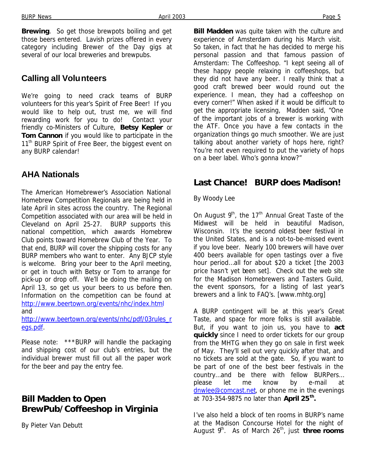**Brewing**. So get those brewpots boiling and get those beers entered. Lavish prizes offered in every category including Brewer of the Day gigs at

#### **Calling all Volunteers**

We're going to need crack teams of BURP volunteers for this year's Spirit of Free Beer! If you would like to help out, trust me, we will find rewarding work for you to do! Contact your friendly co-Ministers of Culture, **Betsy Kepler** or **Tom Cannon** if you would like to participate in the 11<sup>th</sup> BURP Spirit of Free Beer, the biggest event on any BURP calendar!

several of our local breweries and brewpubs.

#### **AHA Nationals**

The American Homebrewer's Association National Homebrew Competition Regionals are being held in late April in sites across the country. The Regional Competition associated with our area will be held in Cleveland on April 25-27. BURP supports this national competition, which awards Homebrew Club points toward Homebrew Club of the Year. To that end, BURP will cover the shipping costs for any BURP members who want to enter. Any BJCP style is welcome. Bring your beer to the April meeting, or get in touch with Betsy or Tom to arrange for pick-up or drop off. We'll be doing the mailing on April 13, so get us your beers to us before then. Information on the competition can be found at http://www.beertown.org/events/nhc/index.html and

http://www.beertown.org/events/nhc/pdf/03rules\_r egs.pdf.

Please note: \*\*\*BURP will handle the packaging and shipping cost of our club's entries, but the individual brewer must fill out all the paper work for the beer and pay the entry fee.

#### **Bill Madden to Open BrewPub/Coffeeshop in Virginia**

*By Pieter Van Debutt*

**Bill Madden** was quite taken with the culture and experience of Amsterdam during his March visit. So taken, in fact that he has decided to merge his personal passion and that famous passion of Amsterdam: The Coffeeshop. "I kept seeing all of these happy people relaxing in coffeeshops, but they did not have any beer. I really think that a good craft brewed beer would round out the experience. I mean, they had a coffeeshop on every corner!" When asked if it would be difficult to get the appropriate licensing, Madden said, "One of the important jobs of a brewer is working with the ATF. Once you have a few contacts in the organization things go much smoother. We are just talking about another variety of hops here, right? You're not even required to put the variety of hops on a beer label. Who's gonna know?"

#### **Last Chance! BURP does Madison!**

#### *By Woody Lee*

On August  $9<sup>th</sup>$ , the 17<sup>th</sup> Annual Great Taste of the Midwest will be held in beautiful Madison, Wisconsin. It's the second oldest beer festival in the United States, and is a not-to-be-missed event if you love beer. Nearly 100 brewers will have over 400 beers available for open tastings over a five hour period…all for about \$20 a ticket [the 2003 price hasn't yet been set]. Check out the web site for the Madison Homebrewers and Tasters Guild, the event sponsors, for a listing of last year's brewers and a link to FAQ's. [www.mhtg.org]

A BURP contingent will be at this year's Great Taste, and space for more folks is still available. But, if you want to join us, you have to **act quickly** since I need to order tickets for our group from the MHTG when they go on sale in first week of May. They'll sell out very quickly after that, and no tickets are sold at the gate. So, if you want to be part of one of the best beer festivals in the country…and be there with fellow BURPers… please let me know by e-mail at dnwlee@comcast.net, or phone me in the evenings at 703-354-9875 no later than **April 25th .**

I've also held a block of ten rooms in BURP's name at the Madison Concourse Hotel for the night of August 9<sup>th</sup>. As of March 26<sup>th</sup>, just **three rooms**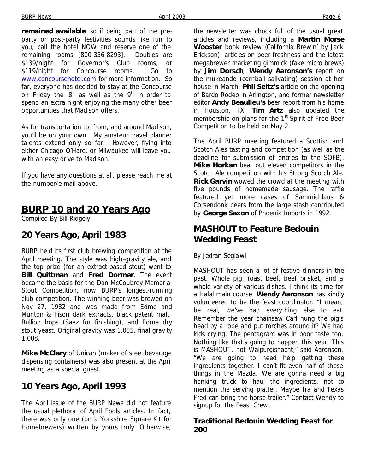**remained available**, so if being part of the preparty or post-party festivities sounds like fun to you, call the hotel NOW and reserve one of the remaining rooms [800-356-8293]. Doubles are \$139/night for Governor's Club rooms, or \$119/night for Concourse rooms. Go to www.concoursehotel.com for more information. So far, everyone has decided to stay at the Concourse on Friday the  $8<sup>th</sup>$  as well as the  $9<sup>th</sup>$  in order to spend an extra night enjoying the many other beer opportunities that Madison offers.

As for transportation to, from, and around Madison, you'll be on your own. My amateur travel planner talents extend only so far. However, flying into either Chicago O'Hare, or Milwaukee will leave you with an easy drive to Madison.

If you have any questions at all, please reach me at the number/e-mail above.

## **BURP 10 and 20 Years Ago**

*Compiled By Bill Ridgely*

#### **20 Years Ago, April 1983**

BURP held its first club brewing competition at the April meeting. The style was high-gravity ale, and the top prize (for an extract-based stout) went to **Bill Quittman** and **Fred Dormer**. The event became the basis for the Dan McCoubrey Memorial Stout Competition, now BURP's longest-running club competition. The winning beer was brewed on Nov 27, 1982 and was made from Edme and Munton & Fison dark extracts, black patent malt, Bullion hops (Saaz for finishing), and Edme dry stout yeast. Original gravity was 1.055, final gravity 1.008.

**Mike McClary** of Unican (maker of steel beverage dispensing containers) was also present at the April meeting as a special guest.

#### **10 Years Ago, April 1993**

The April issue of the BURP News did not feature the usual plethora of April Fools articles. In fact, there was only one (on a Yorkshire Square Kit for Homebrewers) written by yours truly. Otherwise,

the newsletter was chock full of the usual great articles and reviews, including a **Martin Morse** Wooster book review (California Brewin' by Jack Erickson), articles on beer freshness and the latest megabrewer marketing gimmick (fake micro brews) by **Jim Dorsch**, **Wendy Aaronson's** report on the mukeando (cornball salivating) session at her house in March, **Phil Seitz's** article on the opening of Bardo Rodeo in Arlington, and former newsletter editor **Andy Beaulieu's** beer report from his home in Houston, TX. **Tim Artz** also updated the membership on plans for the  $1<sup>st</sup>$  Spirit of Free Beer Competition to be held on May 2.

The April BURP meeting featured a Scottish and Scotch Ales tasting and competition (as well as the deadline for submission of entries to the SOFB). **Mike Horkan** beat out eleven competitors in the Scotch Ale competition with his Strong Scotch Ale. **Rick Garvin** wowed the crowd at the meeting with five pounds of homemade sausage. The raffle featured yet more cases of Sammichlaus & Corsendonk beers from the large stash contributed by **George Saxon** of Phoenix Imports in 1992.

## **MASHOUT to Feature Bedouin Wedding Feast**

#### *By Jedran Seglawi*

MASHOUT has seen a lot of festive dinners in the past. Whole pig, roast beef, beef brisket, and a whole variety of various dishes. I think its time for a Halal main course. **Wendy Aaronson** has kindly volunteered to be the feast coordinator. "I mean, be real, we've had everything else to eat. Remember the year chainsaw Carl hung the pig's head by a rope and put torches around it? We had kids crying. The pentagram was in poor taste too. Nothing like that's going to happen this year. This is MASHOUT, not Walpurgisnacht," said Aaronson. "We are going to need help getting these ingredients together. I can't fit even half of these things in the Mazda. We are gonna need a big honking truck to haul the ingredients, not to mention the serving platter. Maybe Ira and Texas Fred can bring the horse trailer." Contact Wendy to signup for the Feast Crew.

#### **Traditional Bedouin Wedding Feast for 200**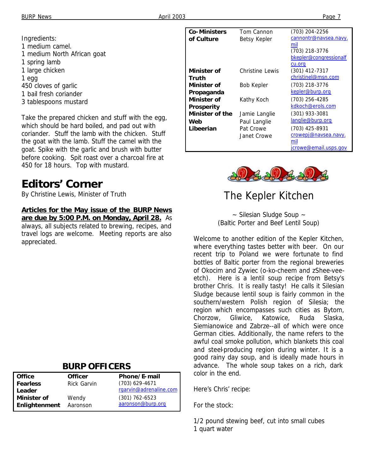Ingredients: 1 medium camel. 1 medium North African goat 1 spring lamb 1 large chicken 1 egg 450 cloves of garlic 1 bail fresh coriander 3 tablespoons mustard

Take the prepared chicken and stuff with the egg, which should be hard boiled, and pad out with coriander. Stuff the lamb with the chicken. Stuff the goat with the lamb. Stuff the camel with the goat. Spike with the garlic and brush with butter before cooking. Spit roast over a charcoal fire at 450 for 18 hours. Top with mustard.

# **Editors' Corner**

*By Christine Lewis, Minister of Truth*

**Articles for the May issue of the** *BURP News* **are due by 5:00 P.M. on Monday, April 28.** As always, all subjects related to brewing, recipes, and travel logs are welcome. Meeting reports are also appreciated.

#### **BURP OFFICERS**

| <b>Office</b>        | <b>Officer</b>     | Phone/E-mail           |
|----------------------|--------------------|------------------------|
| <b>Fearless</b>      | <b>Rick Garvin</b> | $(703)$ 629-4671       |
| Leader               |                    | rgarvin@adrenaline.com |
| <b>Minister of</b>   | Wendy              | $(301)$ 762-6523       |
| <b>Enlightenment</b> | Aaronson           | aaronson@burp.org      |

| <b>Co-Ministers</b> | Tom Cannon        | (703) 204-2256         |
|---------------------|-------------------|------------------------|
| of Culture          | Betsy Kepler      | cannontr@navsea.navy.  |
|                     |                   | mil                    |
|                     |                   | (703) 218-3776         |
|                     |                   | bkepler@congressionalf |
|                     |                   | cu.org                 |
| Minister of         | Christine Lewis   | (301) 412-7317         |
| Truth               |                   | christinel@msn.com     |
| Minister of         | <b>Bob Kepler</b> | (703) 218-3776         |
| Propaganda          |                   | kepler@burp.org        |
| Minister of         | Kathy Koch        | $(703)$ 256-4285       |
| <b>Prosperity</b>   |                   | kdkoch@erols.com       |
| Minister of the     | Jamie Langlie     | $(301)$ 933-3081       |
| Web                 | Paul Langlie      | langlie@burp.org       |
| Libeerian           | Pat Crowe         | (703) 425-8931         |
|                     | Janet Crowe       | crowepj@navsea.navy.   |
|                     |                   | mil                    |
|                     |                   | jcrowe@email.usps.gov  |



# *The Kepler Kitchen*

~ Silesian Sludge Soup ~ (Baltic Porter and Beef Lentil Soup)

Welcome to another edition of the Kepler Kitchen, where everything tastes better with beer. On our recent trip to Poland we were fortunate to find bottles of Baltic porter from the regional breweries of Okocim and Zywiec (o-ko-cheem and zShee-veeetch). Here is a lentil soup recipe from Betsy's brother Chris. It is really tasty! He calls it Silesian Sludge because lentil soup is fairly common in the southern/western Polish region of Silesia; the region which encompasses such cities as Bytom, Chorzow, Gliwice, Katowice, Ruda Slaska, Siemianowice and Zabrze--all of which were once German cities. Additionally, the name refers to the awful coal smoke pollution, which blankets this coal and steel-producing region during winter. It is a good rainy day soup, and is ideally made hours in advance. The whole soup takes on a rich, dark color in the end.

Here's Chris' recipe:

For the stock:

1/2 pound stewing beef, cut into small cubes 1 quart water